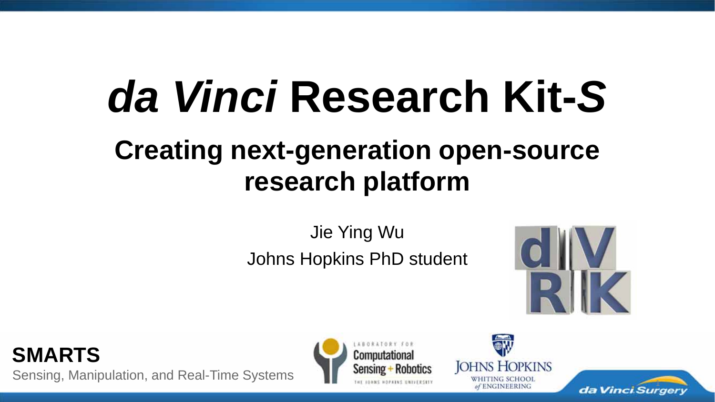# *da Vinci* **Research Kit-***S*

## **Creating next-generation open-source research platform**

Jie Ying Wu Johns Hopkins PhD student



**SMARTS**Sensing, Manipulation, and Real-Time Systems





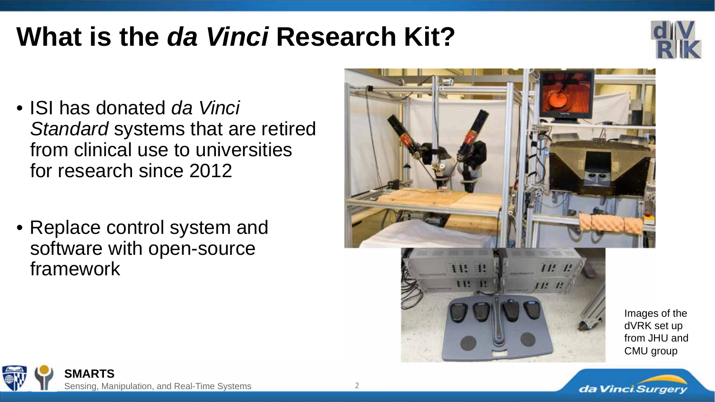#### **What is the** *da Vinci* **Research Kit?**



- ISI has donated *da Vinci Standard* systems that are retired from clinical use to universities for research since 2012
- Replace control system and software with open-source framework



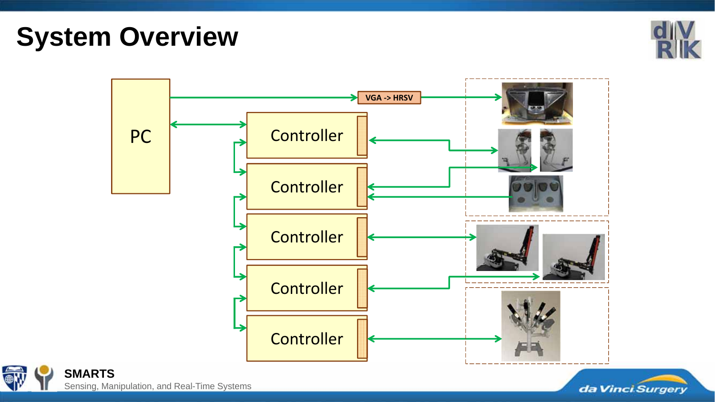**System Overview**







**SMARTS** Sensing, Manipulation, and Real-Time Systems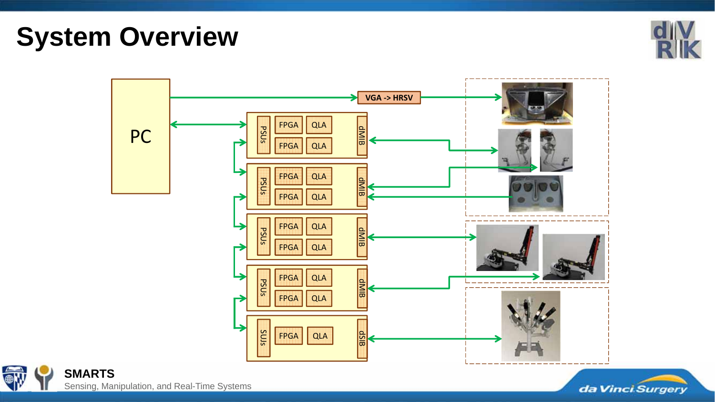**System Overview**







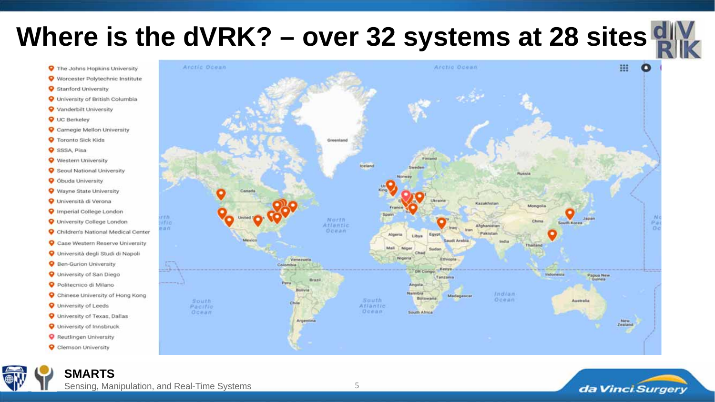# **Where is the dVRK? – over 32 systems at 28 sites <b>e**

- **O** The Johns Hopkins University
- Worcester Polytechnic Institute
- Stanford University
- **O** University of British Columbia
- **O** Vanderbilt University
- **Q** UC Berkeley
- Carnegie Mellon University
- **O** Toronto Sick Kids
- **O** SSSA Pisa
- Western University
- Seoul National University
- **O** Óbuda University
- Wayne State University
- O Università di Verona
- Imperial College London
- **O** University College London
- Children's National Medical Center
- Case Western Reserve University
- O Università degli Studi di Napoli
- **Q** Ben-Gurion University
- **Q** University of San Diego
- Politecnico di Milano
- Chinese University of Hong Kong
- **Q** University of Leeds
- **Q** University of Texas, Dallas
- **Q** University of Innsbruck
- Reutlingen University
- Clemson University

**SMARTS**



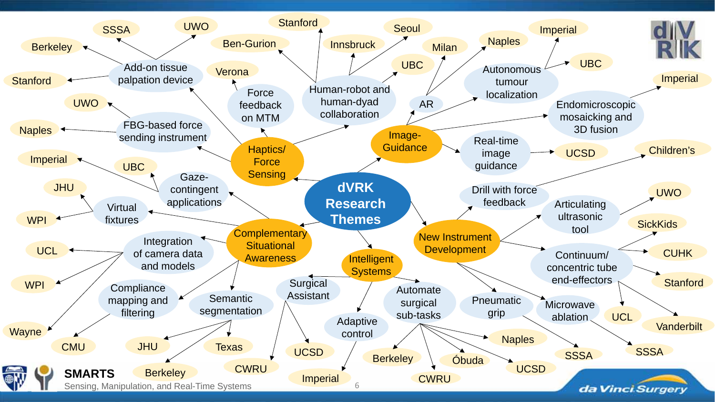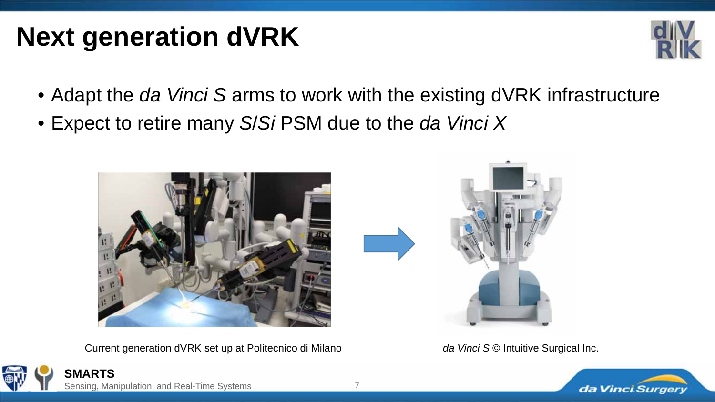#### **Next generation dVRK**



- Adapt the *da Vinci S* arms to work with the existing dVRK infrastructure
- Expect to retire many *S*/*Si* PSM due to the *da Vinci X*



Current generation dVRK set up at Politecnico di Milano *da Vinci S* © Intuitive Surgical Inc.





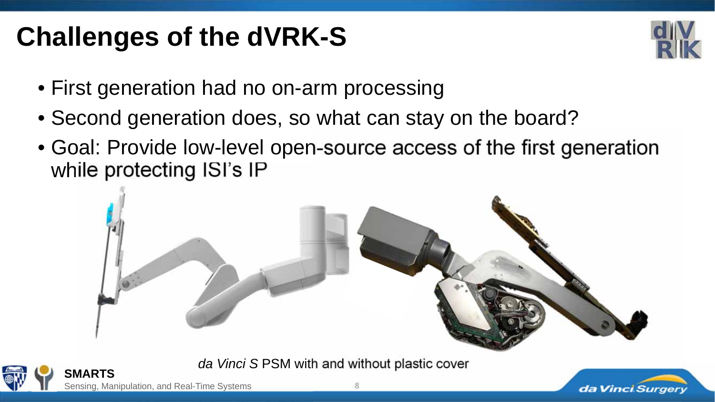# **Challenges of the dVRK-S**



- First generation had no on-arm processing
- Second generation does, so what can stay on the board?
- Goal: Provide low-level open-source access of the first generation while protecting ISI's IP



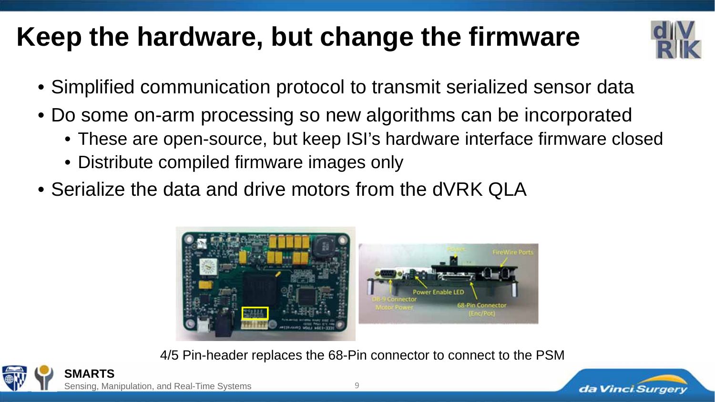#### **Keep the hardware, but change the firmware**



- Simplified communication protocol to transmit serialized sensor data
- Do some on-arm processing so new algorithms can be incorporated
	- These are open-source, but keep ISI's hardware interface firmware closed
	- Distribute compiled firmware images only
- Serialize the data and drive motors from the dVRK QLA



4/5 Pin-header replaces the 68-Pin connector to connect to the PSM



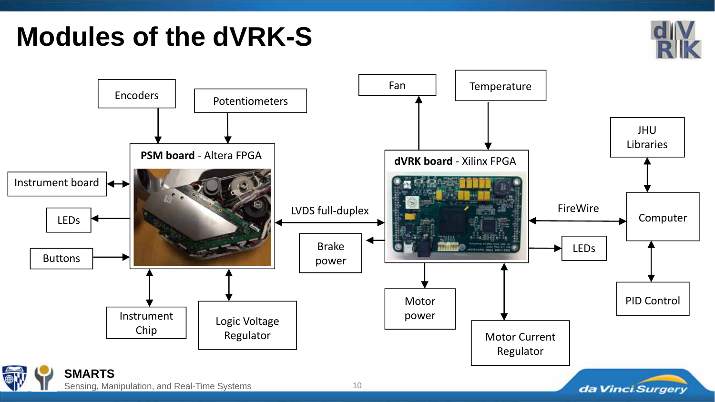#### **Modules of the dVRK-S**



da Vinci Surgery



Sensing, Manipulation, and Real-Time Systems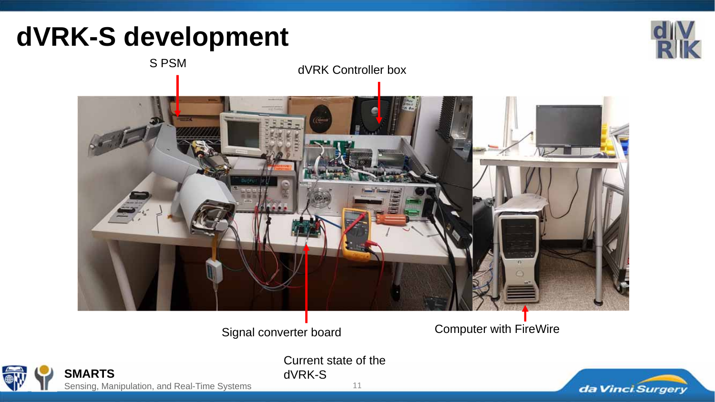### **dVRK-S development**

S PSM



with the state of dVRK Controller box

Signal converter board Computer with FireWire

dVRK-S

**SMARTS** Sensing, Manipulation, and Real-Time Systems

11

Current state of the

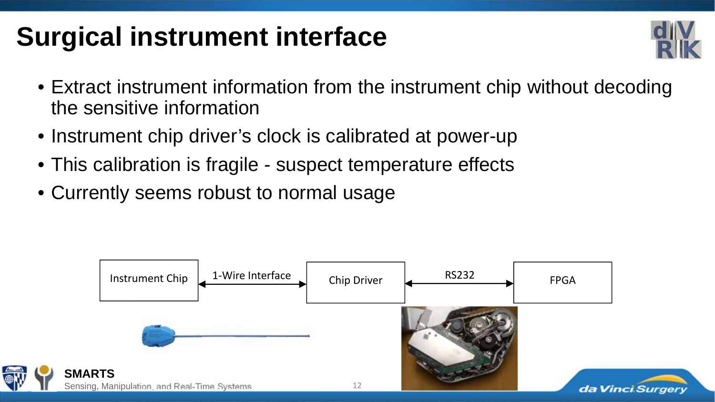# **Surgical instrument interface**



- Extract instrument information from the instrument chip without decoding the sensitive information
- Instrument chip driver's clock is calibrated at power-up
- This calibration is fragile suspect temperature effects
- Currently seems robust to normal usage